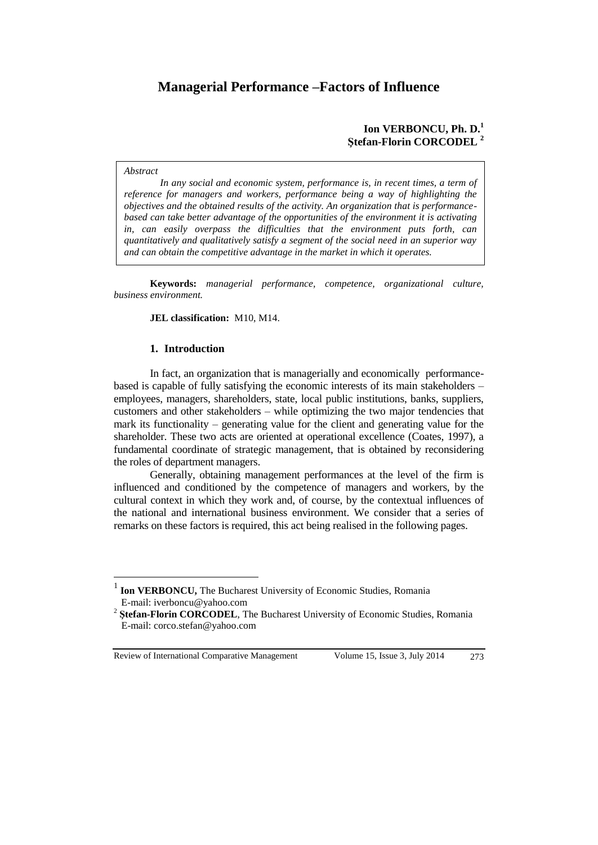# **Managerial Performance –Factors of Influence**

# **Ion VERBONCU, Ph. D.<sup>1</sup> Ştefan-Florin CORCODEL <sup>2</sup>**

#### *Abstract*

*In any social and economic system, performance is, in recent times, a term of reference for managers and workers, performance being a way of highlighting the objectives and the obtained results of the activity. An organization that is performancebased can take better advantage of the opportunities of the environment it is activating in, can easily overpass the difficulties that the environment puts forth, can quantitatively and qualitatively satisfy a segment of the social need in an superior way and can obtain the competitive advantage in the market in which it operates.* 

**Keywords:** *managerial performance, competence, organizational culture, business environment.*

### **JEL classification:** M10, M14.

## **1. Introduction**

In fact, an organization that is managerially and economically performancebased is capable of fully satisfying the economic interests of its main stakeholders – employees, managers, shareholders, state, local public institutions, banks, suppliers, customers and other stakeholders – while optimizing the two major tendencies that mark its functionality – generating value for the client and generating value for the shareholder. These two acts are oriented at operational excellence (Coates, 1997), a fundamental coordinate of strategic management, that is obtained by reconsidering the roles of department managers.

Generally, obtaining management performances at the level of the firm is influenced and conditioned by the competence of managers and workers, by the cultural context in which they work and, of course, by the contextual influences of the national and international business environment. We consider that a series of remarks on these factors is required, this act being realised in the following pages.

Review of International Comparative Management Volume 15, Issue 3, July 2014 273

 $\overline{a}$ 

<sup>1</sup> **Ion VERBONCU,** The Bucharest University of Economic Studies, Romania E-mail: iverboncu@yahoo.com

<sup>&</sup>lt;sup>2</sup> Stefan-Florin CORCODEL, The Bucharest University of Economic Studies, Romania E-mail: corco.stefan@yahoo.com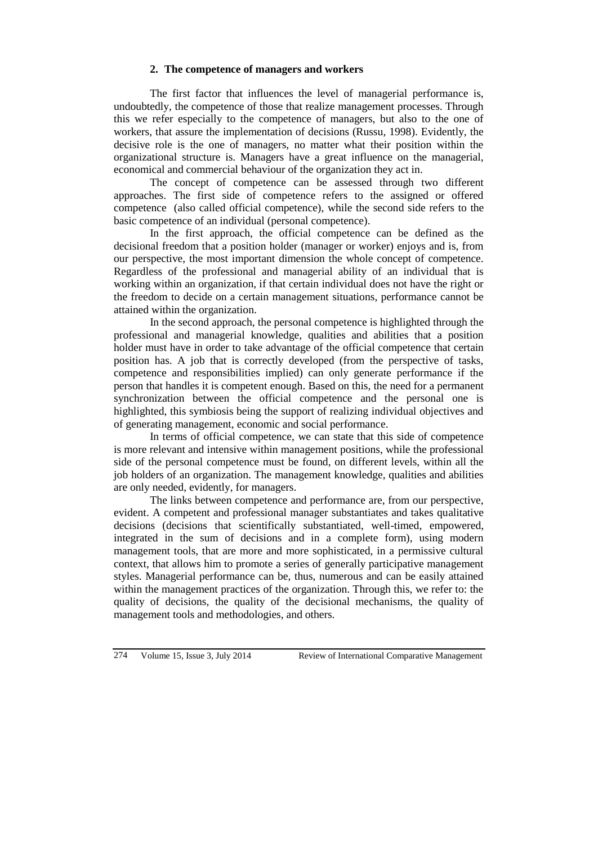# **2. The competence of managers and workers**

The first factor that influences the level of managerial performance is, undoubtedly, the competence of those that realize management processes. Through this we refer especially to the competence of managers, but also to the one of workers, that assure the implementation of decisions (Russu, 1998). Evidently, the decisive role is the one of managers, no matter what their position within the organizational structure is. Managers have a great influence on the managerial, economical and commercial behaviour of the organization they act in.

The concept of competence can be assessed through two different approaches. The first side of competence refers to the assigned or offered competence (also called official competence), while the second side refers to the basic competence of an individual (personal competence).

In the first approach, the official competence can be defined as the decisional freedom that a position holder (manager or worker) enjoys and is, from our perspective, the most important dimension the whole concept of competence. Regardless of the professional and managerial ability of an individual that is working within an organization, if that certain individual does not have the right or the freedom to decide on a certain management situations, performance cannot be attained within the organization.

In the second approach, the personal competence is highlighted through the professional and managerial knowledge, qualities and abilities that a position holder must have in order to take advantage of the official competence that certain position has. A job that is correctly developed (from the perspective of tasks, competence and responsibilities implied) can only generate performance if the person that handles it is competent enough. Based on this, the need for a permanent synchronization between the official competence and the personal one is highlighted, this symbiosis being the support of realizing individual objectives and of generating management, economic and social performance.

In terms of official competence, we can state that this side of competence is more relevant and intensive within management positions, while the professional side of the personal competence must be found, on different levels, within all the job holders of an organization. The management knowledge, qualities and abilities are only needed, evidently, for managers.

The links between competence and performance are, from our perspective, evident. A competent and professional manager substantiates and takes qualitative decisions (decisions that scientifically substantiated, well-timed, empowered, integrated in the sum of decisions and in a complete form), using modern management tools, that are more and more sophisticated, in a permissive cultural context, that allows him to promote a series of generally participative management styles. Managerial performance can be, thus, numerous and can be easily attained within the management practices of the organization. Through this, we refer to: the quality of decisions, the quality of the decisional mechanisms, the quality of management tools and methodologies, and others.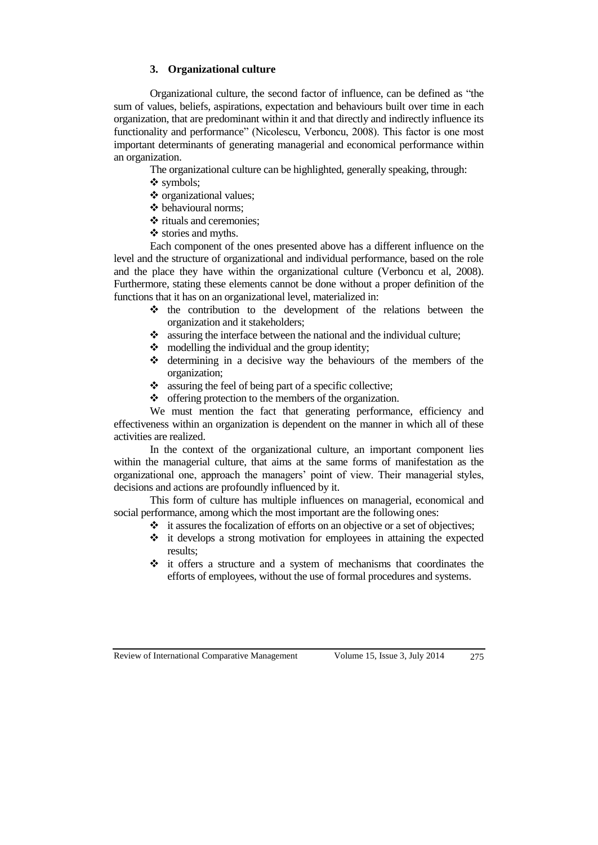# **3. Organizational culture**

Organizational culture, the second factor of influence, can be defined as "the sum of values, beliefs, aspirations, expectation and behaviours built over time in each organization, that are predominant within it and that directly and indirectly influence its functionality and performance" (Nicolescu, Verboncu, 2008). This factor is one most important determinants of generating managerial and economical performance within an organization.

The organizational culture can be highlighted, generally speaking, through:

- symbols;
- ❖ organizational values:
- $\triangleleft$  behavioural norms:
- ❖ rituals and ceremonies:
- $\triangleleft$  stories and myths.

Each component of the ones presented above has a different influence on the level and the structure of organizational and individual performance, based on the role and the place they have within the organizational culture (Verboncu et al, 2008). Furthermore, stating these elements cannot be done without a proper definition of the functions that it has on an organizational level, materialized in:

- $\triangle$  the contribution to the development of the relations between the organization and it stakeholders;
- $\bullet$  assuring the interface between the national and the individual culture;
- $\bullet$  modelling the individual and the group identity;
- determining in a decisive way the behaviours of the members of the organization;
- \* assuring the feel of being part of a specific collective;
- offering protection to the members of the organization.

We must mention the fact that generating performance, efficiency and effectiveness within an organization is dependent on the manner in which all of these activities are realized.

In the context of the organizational culture, an important component lies within the managerial culture, that aims at the same forms of manifestation as the organizational one, approach the managers' point of view. Their managerial styles, decisions and actions are profoundly influenced by it.

This form of culture has multiple influences on managerial, economical and social performance, among which the most important are the following ones:

- $\cdot \cdot$  it assures the focalization of efforts on an objective or a set of objectives;
- $\div$  it develops a strong motivation for employees in attaining the expected results;
- $\div$  it offers a structure and a system of mechanisms that coordinates the efforts of employees, without the use of formal procedures and systems.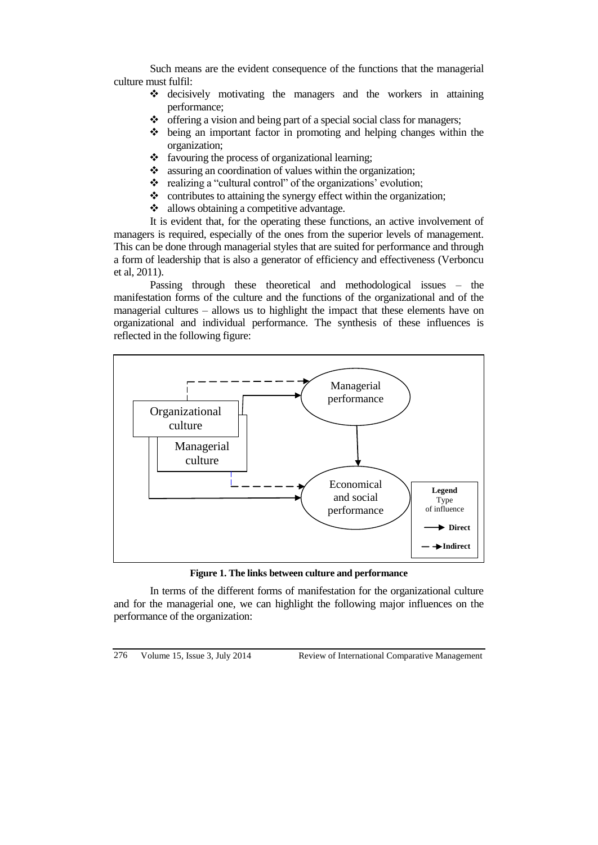Such means are the evident consequence of the functions that the managerial culture must fulfil:

- decisively motivating the managers and the workers in attaining performance;
- $\triangle$  offering a vision and being part of a special social class for managers;
- $\triangle$  being an important factor in promoting and helping changes within the organization;
- $\triangleleft$  favouring the process of organizational learning;
- $\bullet$  assuring an coordination of values within the organization;
- $\cdot \cdot$  realizing a "cultural control" of the organizations' evolution;
- $\bullet$  contributes to attaining the synergy effect within the organization;
- $\triangleleft$  allows obtaining a competitive advantage.

It is evident that, for the operating these functions, an active involvement of managers is required, especially of the ones from the superior levels of management. This can be done through managerial styles that are suited for performance and through a form of leadership that is also a generator of efficiency and effectiveness (Verboncu et al, 2011).

Passing through these theoretical and methodological issues – the manifestation forms of the culture and the functions of the organizational and of the managerial cultures – allows us to highlight the impact that these elements have on organizational and individual performance. The synthesis of these influences is reflected in the following figure:



**Figure 1. The links between culture and performance**

In terms of the different forms of manifestation for the organizational culture and for the managerial one, we can highlight the following major influences on the performance of the organization: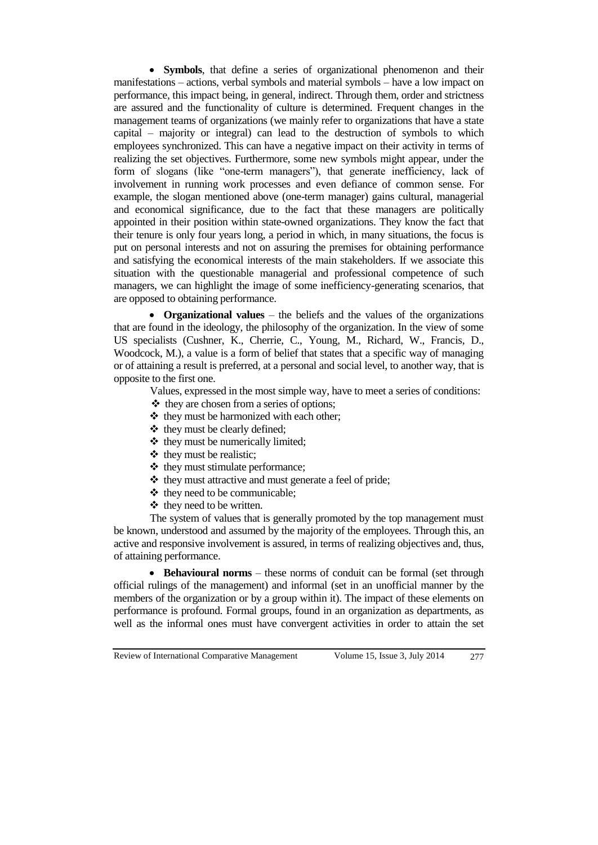**Symbols**, that define a series of organizational phenomenon and their manifestations – actions, verbal symbols and material symbols – have a low impact on performance, this impact being, in general, indirect. Through them, order and strictness are assured and the functionality of culture is determined. Frequent changes in the management teams of organizations (we mainly refer to organizations that have a state capital – majority or integral) can lead to the destruction of symbols to which employees synchronized. This can have a negative impact on their activity in terms of realizing the set objectives. Furthermore, some new symbols might appear, under the form of slogans (like "one-term managers"), that generate inefficiency, lack of involvement in running work processes and even defiance of common sense. For example, the slogan mentioned above (one-term manager) gains cultural, managerial and economical significance, due to the fact that these managers are politically appointed in their position within state-owned organizations. They know the fact that their tenure is only four years long, a period in which, in many situations, the focus is put on personal interests and not on assuring the premises for obtaining performance and satisfying the economical interests of the main stakeholders. If we associate this situation with the questionable managerial and professional competence of such managers, we can highlight the image of some inefficiency-generating scenarios, that are opposed to obtaining performance.

 **Organizational values** – the beliefs and the values of the organizations that are found in the ideology, the philosophy of the organization. In the view of some US specialists (Cushner, K., Cherrie, C., Young, M., Richard, W., Francis, D., Woodcock, M.), a value is a form of belief that states that a specific way of managing or of attaining a result is preferred, at a personal and social level, to another way, that is opposite to the first one.

Values, expressed in the most simple way, have to meet a series of conditions:

- they are chosen from a series of options;
- $\triangle$  they must be harmonized with each other;
- $\triangleleft$  they must be clearly defined;
- $\triangleleft$  they must be numerically limited;
- $\triangleleft$  they must be realistic;
- $\triangleleft$  they must stimulate performance;
- $\triangle$  they must attractive and must generate a feel of pride;
- $\triangleleft$  they need to be communicable:
- $\triangleleft$  they need to be written.

The system of values that is generally promoted by the top management must be known, understood and assumed by the majority of the employees. Through this, an active and responsive involvement is assured, in terms of realizing objectives and, thus, of attaining performance.

 **Behavioural norms** – these norms of conduit can be formal (set through official rulings of the management) and informal (set in an unofficial manner by the members of the organization or by a group within it). The impact of these elements on performance is profound. Formal groups, found in an organization as departments, as well as the informal ones must have convergent activities in order to attain the set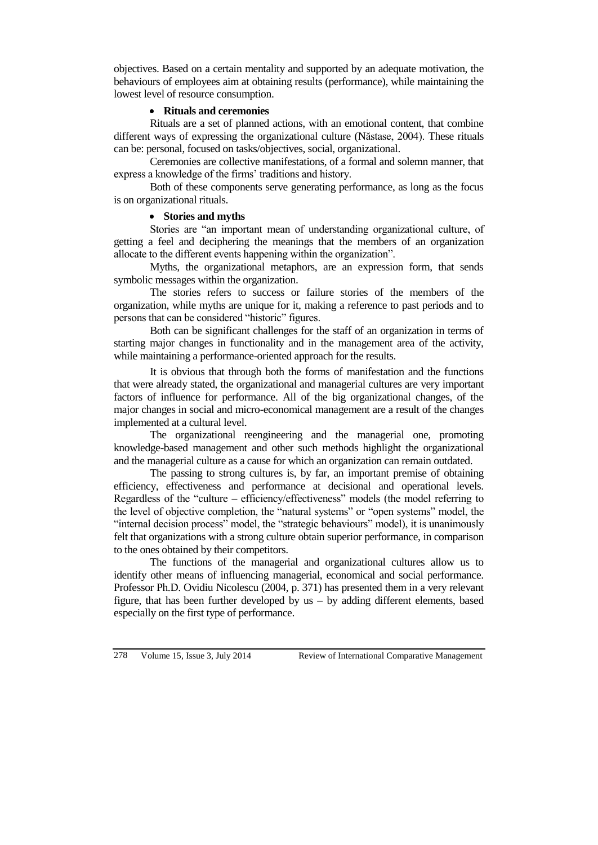objectives. Based on a certain mentality and supported by an adequate motivation, the behaviours of employees aim at obtaining results (performance), while maintaining the lowest level of resource consumption.

# **Rituals and ceremonies**

Rituals are a set of planned actions, with an emotional content, that combine different ways of expressing the organizational culture (Năstase, 2004). These rituals can be: personal, focused on tasks/objectives, social, organizational.

Ceremonies are collective manifestations, of a formal and solemn manner, that express a knowledge of the firms' traditions and history.

Both of these components serve generating performance, as long as the focus is on organizational rituals.

# **Stories and myths**

Stories are "an important mean of understanding organizational culture, of getting a feel and deciphering the meanings that the members of an organization allocate to the different events happening within the organization".

Myths, the organizational metaphors, are an expression form, that sends symbolic messages within the organization.

The stories refers to success or failure stories of the members of the organization, while myths are unique for it, making a reference to past periods and to persons that can be considered "historic" figures.

Both can be significant challenges for the staff of an organization in terms of starting major changes in functionality and in the management area of the activity, while maintaining a performance-oriented approach for the results.

It is obvious that through both the forms of manifestation and the functions that were already stated, the organizational and managerial cultures are very important factors of influence for performance. All of the big organizational changes, of the major changes in social and micro-economical management are a result of the changes implemented at a cultural level.

The organizational reengineering and the managerial one, promoting knowledge-based management and other such methods highlight the organizational and the managerial culture as a cause for which an organization can remain outdated.

The passing to strong cultures is, by far, an important premise of obtaining efficiency, effectiveness and performance at decisional and operational levels. Regardless of the "culture – efficiency/effectiveness" models (the model referring to the level of objective completion, the "natural systems" or "open systems" model, the "internal decision process" model, the "strategic behaviours" model), it is unanimously felt that organizations with a strong culture obtain superior performance, in comparison to the ones obtained by their competitors.

The functions of the managerial and organizational cultures allow us to identify other means of influencing managerial, economical and social performance. Professor Ph.D. Ovidiu Nicolescu (2004, p. 371) has presented them in a very relevant figure, that has been further developed by us – by adding different elements, based especially on the first type of performance.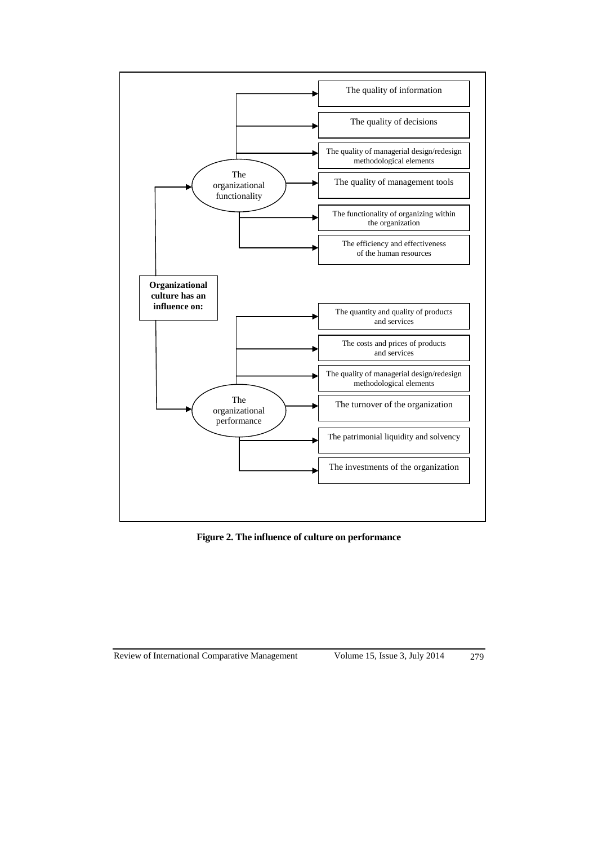

**Figure 2. The influence of culture on performance**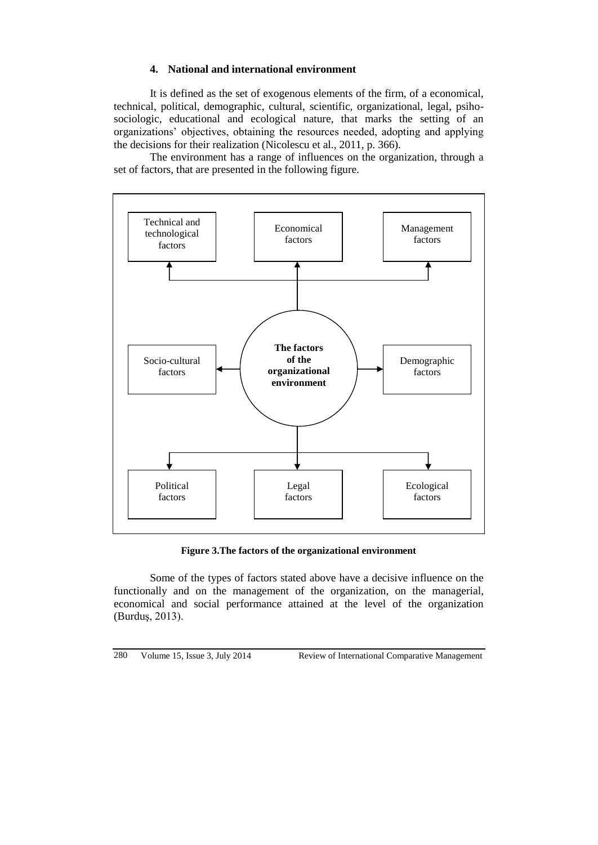# **4. National and international environment**

It is defined as the set of exogenous elements of the firm, of a economical, technical, political, demographic, cultural, scientific, organizational, legal, psihosociologic, educational and ecological nature, that marks the setting of an organizations' objectives, obtaining the resources needed, adopting and applying the decisions for their realization (Nicolescu et al., 2011, p. 366).

The environment has a range of influences on the organization, through a set of factors, that are presented in the following figure.



**Figure 3.The factors of the organizational environment**

Some of the types of factors stated above have a decisive influence on the functionally and on the management of the organization, on the managerial, economical and social performance attained at the level of the organization (Burduş, 2013).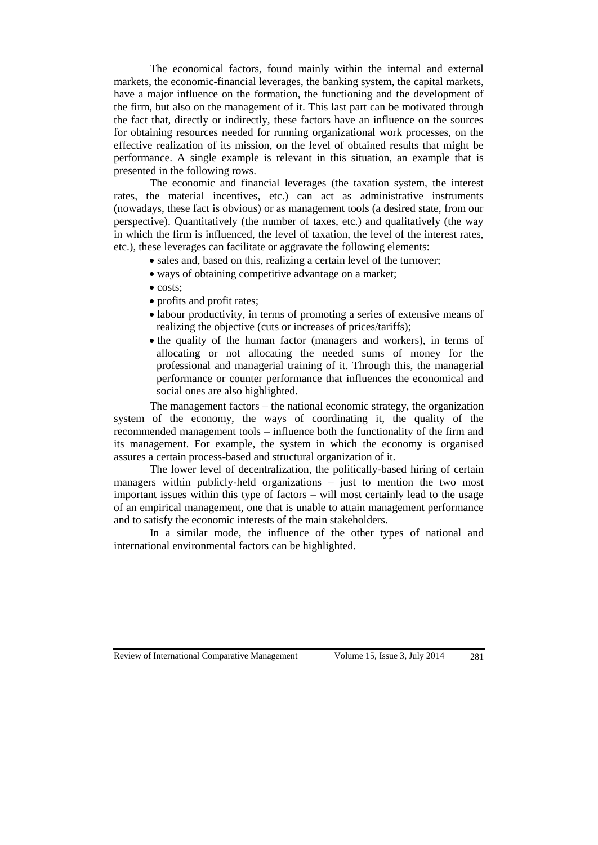The economical factors, found mainly within the internal and external markets, the economic-financial leverages, the banking system, the capital markets, have a major influence on the formation, the functioning and the development of the firm, but also on the management of it. This last part can be motivated through the fact that, directly or indirectly, these factors have an influence on the sources for obtaining resources needed for running organizational work processes, on the effective realization of its mission, on the level of obtained results that might be performance. A single example is relevant in this situation, an example that is presented in the following rows.

The economic and financial leverages (the taxation system, the interest rates, the material incentives, etc.) can act as administrative instruments (nowadays, these fact is obvious) or as management tools (a desired state, from our perspective). Quantitatively (the number of taxes, etc.) and qualitatively (the way in which the firm is influenced, the level of taxation, the level of the interest rates, etc.), these leverages can facilitate or aggravate the following elements:

- sales and, based on this, realizing a certain level of the turnover;
- ways of obtaining competitive advantage on a market;
- $\bullet$  costs:
- profits and profit rates;
- labour productivity, in terms of promoting a series of extensive means of realizing the objective (cuts or increases of prices/tariffs);
- the quality of the human factor (managers and workers), in terms of allocating or not allocating the needed sums of money for the professional and managerial training of it. Through this, the managerial performance or counter performance that influences the economical and social ones are also highlighted.

The management factors – the national economic strategy, the organization system of the economy, the ways of coordinating it, the quality of the recommended management tools – influence both the functionality of the firm and its management. For example, the system in which the economy is organised assures a certain process-based and structural organization of it.

The lower level of decentralization, the politically-based hiring of certain managers within publicly-held organizations – just to mention the two most important issues within this type of factors – will most certainly lead to the usage of an empirical management, one that is unable to attain management performance and to satisfy the economic interests of the main stakeholders.

In a similar mode, the influence of the other types of national and international environmental factors can be highlighted.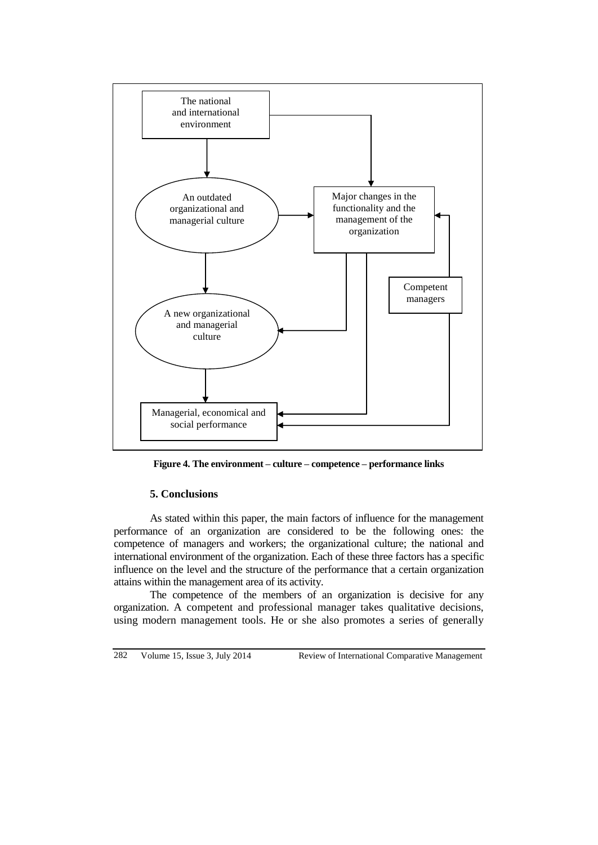

**Figure 4. The environment – culture – competence – performance links**

### **5. Conclusions**

As stated within this paper, the main factors of influence for the management performance of an organization are considered to be the following ones: the competence of managers and workers; the organizational culture; the national and international environment of the organization. Each of these three factors has a specific influence on the level and the structure of the performance that a certain organization attains within the management area of its activity.

The competence of the members of an organization is decisive for any organization. A competent and professional manager takes qualitative decisions, using modern management tools. He or she also promotes a series of generally